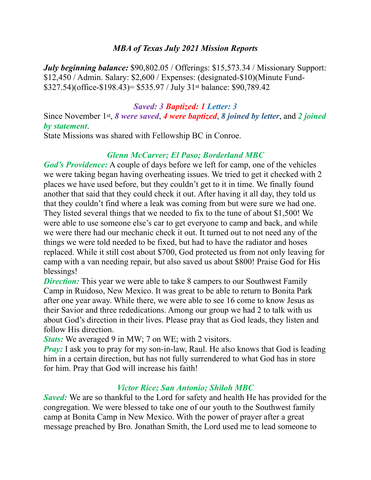### *MBA of Texas July 2021 Mission Reports*

*July beginning balance:* \$90,802.05 / Offerings: \$15,573.34 / Missionary Support: \$12,450 / Admin. Salary: \$2,600 / Expenses: (designated-\$10)(Minute Fund- \$327.54)(office-\$198.43)= \$535.97 / July 31st balance: \$90,789.42

#### *Saved: 3 Baptized: 1 Letter: 3*

Since November 1st, *8 were saved*, *4 were baptized*, *8 joined by letter*, and *2 joined by statement*.

State Missions was shared with Fellowship BC in Conroe.

## *Glenn McCarver; El Paso; Borderland MBC*

*God's Providence:* A couple of days before we left for camp, one of the vehicles we were taking began having overheating issues. We tried to get it checked with 2 places we have used before, but they couldn't get to it in time. We finally found another that said that they could check it out. After having it all day, they told us that they couldn't find where a leak was coming from but were sure we had one. They listed several things that we needed to fix to the tune of about \$1,500! We were able to use someone else's car to get everyone to camp and back, and while we were there had our mechanic check it out. It turned out to not need any of the things we were told needed to be fixed, but had to have the radiator and hoses replaced. While it still cost about \$700, God protected us from not only leaving for camp with a van needing repair, but also saved us about \$800! Praise God for His blessings!

*Direction:* This year we were able to take 8 campers to our Southwest Family Camp in Ruidoso, New Mexico. It was great to be able to return to Bonita Park after one year away. While there, we were able to see 16 come to know Jesus as their Savior and three rededications. Among our group we had 2 to talk with us about God's direction in their lives. Please pray that as God leads, they listen and follow His direction.

*Stats:* We averaged 9 in MW; 7 on WE; with 2 visitors.

*Pray:* I ask you to pray for my son-in-law, Raul. He also knows that God is leading him in a certain direction, but has not fully surrendered to what God has in store for him. Pray that God will increase his faith!

# *Victor Rice; San Antonio; Shiloh MBC*

*Saved:* We are so thankful to the Lord for safety and health He has provided for the congregation. We were blessed to take one of our youth to the Southwest family camp at Bonita Camp in New Mexico. With the power of prayer after a great message preached by Bro. Jonathan Smith, the Lord used me to lead someone to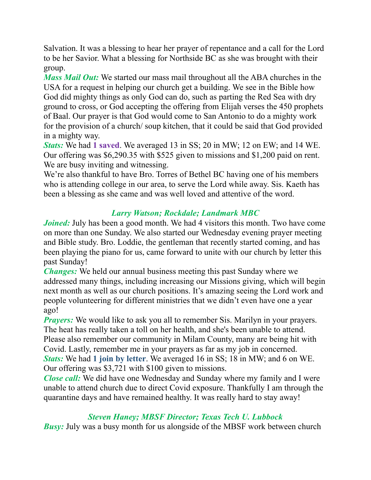Salvation. It was a blessing to hear her prayer of repentance and a call for the Lord to be her Savior. What a blessing for Northside BC as she was brought with their group.

*Mass Mail Out:* We started our mass mail throughout all the ABA churches in the USA for a request in helping our church get a building. We see in the Bible how God did mighty things as only God can do, such as parting the Red Sea with dry ground to cross, or God accepting the offering from Elijah verses the 450 prophets of Baal. Our prayer is that God would come to San Antonio to do a mighty work for the provision of a church/ soup kitchen, that it could be said that God provided in a mighty way.

*Stats:* We had **1 saved**. We averaged 13 in SS; 20 in MW; 12 on EW; and 14 WE. Our offering was \$6,290.35 with \$525 given to missions and \$1,200 paid on rent. We are busy inviting and witnessing.

We're also thankful to have Bro. Torres of Bethel BC having one of his members who is attending college in our area, to serve the Lord while away. Sis. Kaeth has been a blessing as she came and was well loved and attentive of the word.

# *Larry Watson; Rockdale; Landmark MBC*

*Joined:* July has been a good month. We had 4 visitors this month. Two have come on more than one Sunday. We also started our Wednesday evening prayer meeting and Bible study. Bro. Loddie, the gentleman that recently started coming, and has been playing the piano for us, came forward to unite with our church by letter this past Sunday!

*Changes:* We held our annual business meeting this past Sunday where we addressed many things, including increasing our Missions giving, which will begin next month as well as our church positions. It's amazing seeing the Lord work and people volunteering for different ministries that we didn't even have one a year ago!

*Prayers:* We would like to ask you all to remember Sis. Marilyn in your prayers. The heat has really taken a toll on her health, and she's been unable to attend. Please also remember our community in Milam County, many are being hit with Covid. Lastly, remember me in your prayers as far as my job in concerned. *Stats:* We had **1 join by letter**. We averaged 16 in SS; 18 in MW; and 6 on WE. Our offering was \$3,721 with \$100 given to missions.

*Close call:* We did have one Wednesday and Sunday where my family and I were unable to attend church due to direct Covid exposure. Thankfully I am through the quarantine days and have remained healthy. It was really hard to stay away!

# *Steven Haney; MBSF Director; Texas Tech U. Lubbock*

*Busy:* July was a busy month for us alongside of the MBSF work between church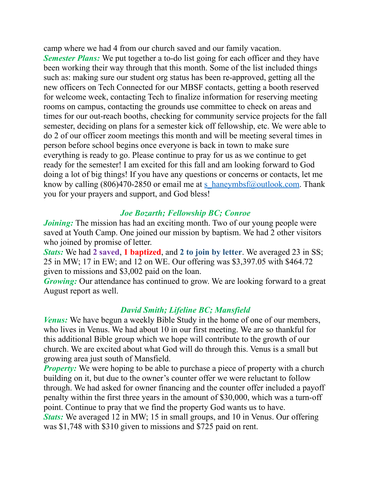camp where we had 4 from our church saved and our family vacation. *Semester Plans:* We put together a to-do list going for each officer and they have been working their way through that this month. Some of the list included things such as: making sure our student org status has been re-approved, getting all the new officers on Tech Connected for our MBSF contacts, getting a booth reserved for welcome week, contacting Tech to finalize information for reserving meeting rooms on campus, contacting the grounds use committee to check on areas and times for our out-reach booths, checking for community service projects for the fall semester, deciding on plans for a semester kick off fellowship, etc. We were able to do 2 of our officer zoom meetings this month and will be meeting several times in person before school begins once everyone is back in town to make sure everything is ready to go. Please continue to pray for us as we continue to get ready for the semester! I am excited for this fall and am looking forward to God doing a lot of big things! If you have any questions or concerns or contacts, let me know by calling (806)470-2850 or email me at [s\\_haneymbsf@outlook.com](mailto:s_haneymbsf@outlook.com). Thank you for your prayers and support, and God bless!

## *Joe Bozarth; Fellowship BC; Conroe*

*Joining*: The mission has had an exciting month. Two of our young people were saved at Youth Camp. One joined our mission by baptism. We had 2 other visitors who joined by promise of letter.

*Stats:* We had **2 saved**, **1 baptized**, and **2 to join by letter**. We averaged 23 in SS; 25 in MW; 17 in EW; and 12 on WE. Our offering was \$3,397.05 with \$464.72 given to missions and \$3,002 paid on the loan.

*Growing:* Our attendance has continued to grow. We are looking forward to a great August report as well.

### *David Smith; Lifeline BC; Mansfield*

*Venus:* We have begun a weekly Bible Study in the home of one of our members, who lives in Venus. We had about 10 in our first meeting. We are so thankful for this additional Bible group which we hope will contribute to the growth of our church. We are excited about what God will do through this. Venus is a small but growing area just south of Mansfield.

*Property:* We were hoping to be able to purchase a piece of property with a church building on it, but due to the owner's counter offer we were reluctant to follow through. We had asked for owner financing and the counter offer included a payoff penalty within the first three years in the amount of \$30,000, which was a turn-off point. Continue to pray that we find the property God wants us to have. *Stats:* We averaged 12 in MW; 15 in small groups, and 10 in Venus. Our offering was \$1,748 with \$310 given to missions and \$725 paid on rent.